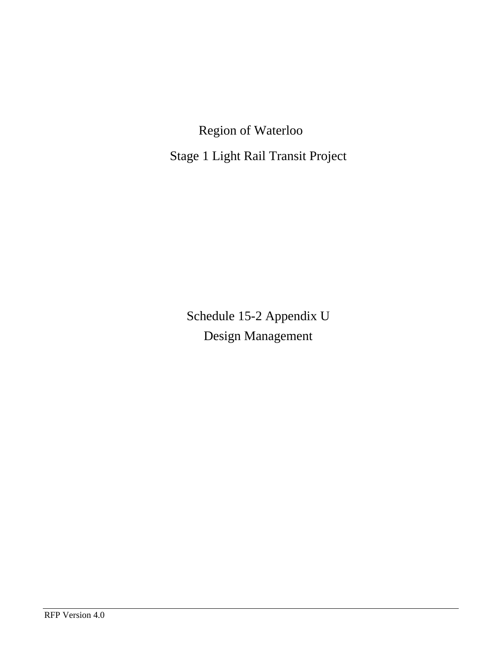Region of Waterloo Stage 1 Light Rail Transit Project

Schedule 15-2 Appendix U Design Management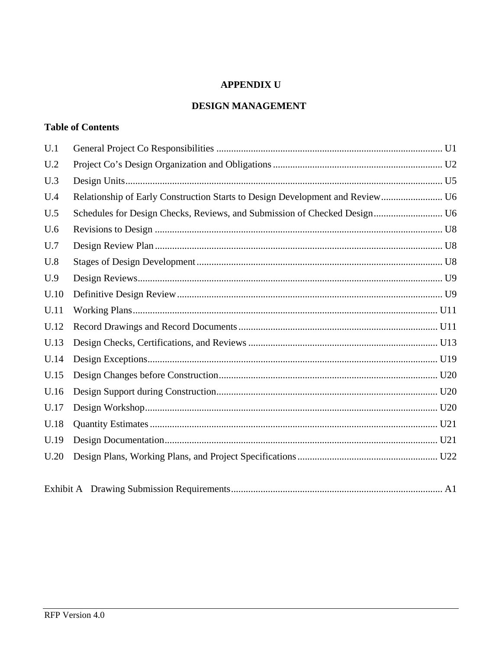# **APPENDIX U**

# **DESIGN MANAGEMENT**

# **Table of Contents**

| U.1  |                                                                               |
|------|-------------------------------------------------------------------------------|
| U.2  |                                                                               |
| U.3  |                                                                               |
| U.4  | Relationship of Early Construction Starts to Design Development and Review U6 |
| U.5  | Schedules for Design Checks, Reviews, and Submission of Checked Design U6     |
| U.6  |                                                                               |
| U.7  |                                                                               |
| U.8  |                                                                               |
| U.9  |                                                                               |
| U.10 |                                                                               |
| U.11 |                                                                               |
| U.12 |                                                                               |
| U.13 |                                                                               |
| U.14 |                                                                               |
| U.15 |                                                                               |
| U.16 |                                                                               |
| U.17 |                                                                               |
| U.18 |                                                                               |
| U.19 |                                                                               |
| U.20 |                                                                               |
|      |                                                                               |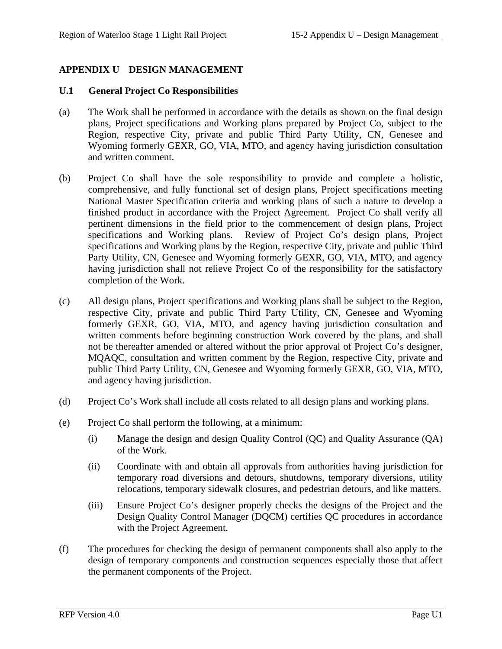# **APPENDIX U DESIGN MANAGEMENT**

#### **U.1 General Project Co Responsibilities**

- (a) The Work shall be performed in accordance with the details as shown on the final design plans, Project specifications and Working plans prepared by Project Co, subject to the Region, respective City, private and public Third Party Utility, CN, Genesee and Wyoming formerly GEXR, GO, VIA, MTO, and agency having jurisdiction consultation and written comment.
- (b) Project Co shall have the sole responsibility to provide and complete a holistic, comprehensive, and fully functional set of design plans, Project specifications meeting National Master Specification criteria and working plans of such a nature to develop a finished product in accordance with the Project Agreement. Project Co shall verify all pertinent dimensions in the field prior to the commencement of design plans, Project specifications and Working plans. Review of Project Co's design plans, Project specifications and Working plans by the Region, respective City, private and public Third Party Utility, CN, Genesee and Wyoming formerly GEXR, GO, VIA, MTO, and agency having jurisdiction shall not relieve Project Co of the responsibility for the satisfactory completion of the Work.
- (c) All design plans, Project specifications and Working plans shall be subject to the Region, respective City, private and public Third Party Utility, CN, Genesee and Wyoming formerly GEXR, GO, VIA, MTO, and agency having jurisdiction consultation and written comments before beginning construction Work covered by the plans, and shall not be thereafter amended or altered without the prior approval of Project Co's designer, MQAQC, consultation and written comment by the Region, respective City, private and public Third Party Utility, CN, Genesee and Wyoming formerly GEXR, GO, VIA, MTO, and agency having jurisdiction.
- (d) Project Co's Work shall include all costs related to all design plans and working plans.
- (e) Project Co shall perform the following, at a minimum:
	- (i) Manage the design and design Quality Control (QC) and Quality Assurance (QA) of the Work.
	- (ii) Coordinate with and obtain all approvals from authorities having jurisdiction for temporary road diversions and detours, shutdowns, temporary diversions, utility relocations, temporary sidewalk closures, and pedestrian detours, and like matters.
	- (iii) Ensure Project Co's designer properly checks the designs of the Project and the Design Quality Control Manager (DQCM) certifies QC procedures in accordance with the Project Agreement.
- (f) The procedures for checking the design of permanent components shall also apply to the design of temporary components and construction sequences especially those that affect the permanent components of the Project.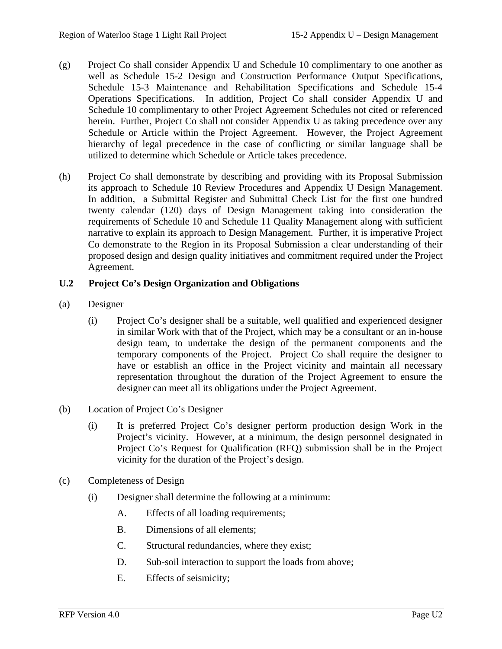- (g) Project Co shall consider Appendix U and Schedule 10 complimentary to one another as well as Schedule 15-2 Design and Construction Performance Output Specifications, Schedule 15-3 Maintenance and Rehabilitation Specifications and Schedule 15-4 Operations Specifications. In addition, Project Co shall consider Appendix U and Schedule 10 complimentary to other Project Agreement Schedules not cited or referenced herein. Further, Project Co shall not consider Appendix U as taking precedence over any Schedule or Article within the Project Agreement. However, the Project Agreement hierarchy of legal precedence in the case of conflicting or similar language shall be utilized to determine which Schedule or Article takes precedence.
- (h) Project Co shall demonstrate by describing and providing with its Proposal Submission its approach to Schedule 10 Review Procedures and Appendix U Design Management. In addition, a Submittal Register and Submittal Check List for the first one hundred twenty calendar (120) days of Design Management taking into consideration the requirements of Schedule 10 and Schedule 11 Quality Management along with sufficient narrative to explain its approach to Design Management. Further, it is imperative Project Co demonstrate to the Region in its Proposal Submission a clear understanding of their proposed design and design quality initiatives and commitment required under the Project Agreement.

## **U.2 Project Co's Design Organization and Obligations**

- (a) Designer
	- (i) Project Co's designer shall be a suitable, well qualified and experienced designer in similar Work with that of the Project, which may be a consultant or an in-house design team, to undertake the design of the permanent components and the temporary components of the Project. Project Co shall require the designer to have or establish an office in the Project vicinity and maintain all necessary representation throughout the duration of the Project Agreement to ensure the designer can meet all its obligations under the Project Agreement.
- (b) Location of Project Co's Designer
	- (i) It is preferred Project Co's designer perform production design Work in the Project's vicinity. However, at a minimum, the design personnel designated in Project Co's Request for Qualification (RFQ) submission shall be in the Project vicinity for the duration of the Project's design.
- (c) Completeness of Design
	- (i) Designer shall determine the following at a minimum:
		- A. Effects of all loading requirements;
		- B. Dimensions of all elements;
		- C. Structural redundancies, where they exist;
		- D. Sub-soil interaction to support the loads from above;
		- E. Effects of seismicity;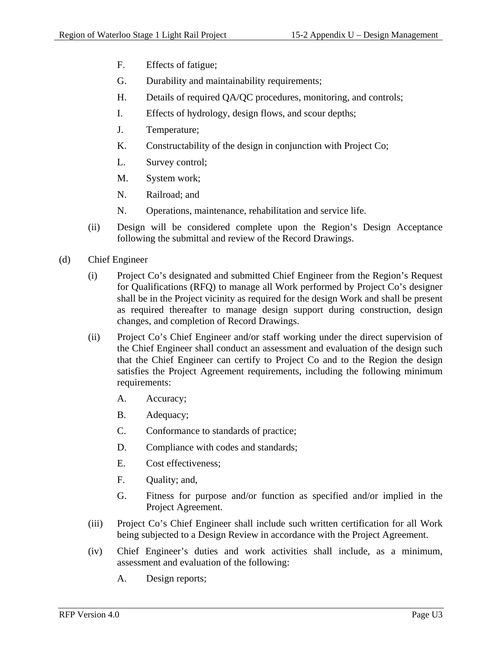- F. Effects of fatigue;
- G. Durability and maintainability requirements;
- H. Details of required QA/QC procedures, monitoring, and controls;
- I. Effects of hydrology, design flows, and scour depths;
- J. Temperature;
- K. Constructability of the design in conjunction with Project Co;
- L. Survey control;
- M. System work;
- N. Railroad; and
- N. Operations, maintenance, rehabilitation and service life.
- (ii) Design will be considered complete upon the Region's Design Acceptance following the submittal and review of the Record Drawings.
- (d) Chief Engineer
	- (i) Project Co's designated and submitted Chief Engineer from the Region's Request for Qualifications (RFQ) to manage all Work performed by Project Co's designer shall be in the Project vicinity as required for the design Work and shall be present as required thereafter to manage design support during construction, design changes, and completion of Record Drawings.
	- (ii) Project Co's Chief Engineer and/or staff working under the direct supervision of the Chief Engineer shall conduct an assessment and evaluation of the design such that the Chief Engineer can certify to Project Co and to the Region the design satisfies the Project Agreement requirements, including the following minimum requirements:
		- A. Accuracy;
		- B. Adequacy;
		- C. Conformance to standards of practice;
		- D. Compliance with codes and standards;
		- E. Cost effectiveness;
		- F. Quality; and,
		- G. Fitness for purpose and/or function as specified and/or implied in the Project Agreement.
	- (iii) Project Co's Chief Engineer shall include such written certification for all Work being subjected to a Design Review in accordance with the Project Agreement.
	- (iv) Chief Engineer's duties and work activities shall include, as a minimum, assessment and evaluation of the following:
		- A. Design reports;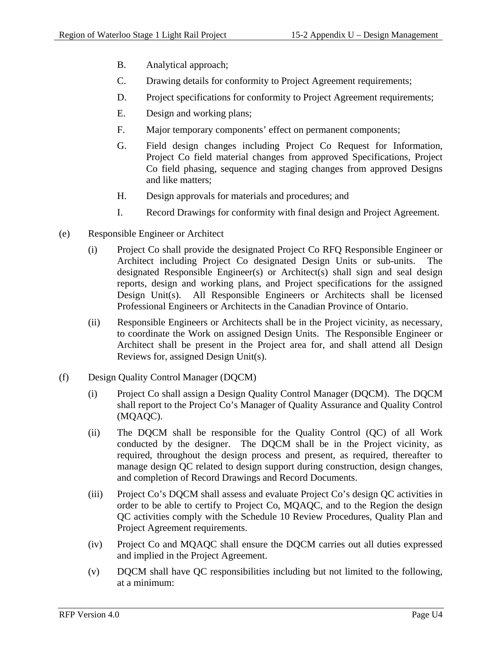- B. Analytical approach;
- C. Drawing details for conformity to Project Agreement requirements;
- D. Project specifications for conformity to Project Agreement requirements;
- E. Design and working plans;
- F. Major temporary components' effect on permanent components;
- G. Field design changes including Project Co Request for Information, Project Co field material changes from approved Specifications, Project Co field phasing, sequence and staging changes from approved Designs and like matters;
- H. Design approvals for materials and procedures; and
- I. Record Drawings for conformity with final design and Project Agreement.
- (e) Responsible Engineer or Architect
	- (i) Project Co shall provide the designated Project Co RFQ Responsible Engineer or Architect including Project Co designated Design Units or sub-units. The designated Responsible Engineer(s) or Architect(s) shall sign and seal design reports, design and working plans, and Project specifications for the assigned Design Unit(s). All Responsible Engineers or Architects shall be licensed Professional Engineers or Architects in the Canadian Province of Ontario.
	- (ii) Responsible Engineers or Architects shall be in the Project vicinity, as necessary, to coordinate the Work on assigned Design Units. The Responsible Engineer or Architect shall be present in the Project area for, and shall attend all Design Reviews for, assigned Design Unit(s).
- (f) Design Quality Control Manager (DQCM)
	- (i) Project Co shall assign a Design Quality Control Manager (DQCM). The DQCM shall report to the Project Co's Manager of Quality Assurance and Quality Control (MQAQC).
	- (ii) The DQCM shall be responsible for the Quality Control (QC) of all Work conducted by the designer. The DQCM shall be in the Project vicinity, as required, throughout the design process and present, as required, thereafter to manage design QC related to design support during construction, design changes, and completion of Record Drawings and Record Documents.
	- (iii) Project Co's DQCM shall assess and evaluate Project Co's design QC activities in order to be able to certify to Project Co, MQAQC, and to the Region the design QC activities comply with the Schedule 10 Review Procedures, Quality Plan and Project Agreement requirements.
	- (iv) Project Co and MQAQC shall ensure the DQCM carries out all duties expressed and implied in the Project Agreement.
	- (v) DQCM shall have QC responsibilities including but not limited to the following, at a minimum: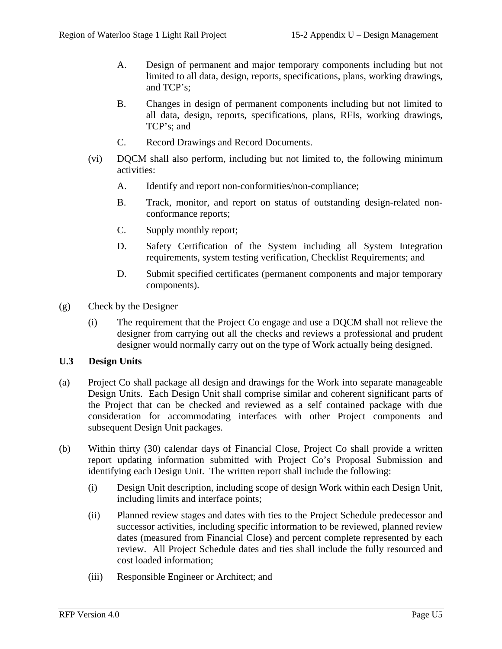- A. Design of permanent and major temporary components including but not limited to all data, design, reports, specifications, plans, working drawings, and TCP's;
- B. Changes in design of permanent components including but not limited to all data, design, reports, specifications, plans, RFIs, working drawings, TCP's; and
- C. Record Drawings and Record Documents.
- (vi) DQCM shall also perform, including but not limited to, the following minimum activities:
	- A. Identify and report non-conformities/non-compliance;
	- B. Track, monitor, and report on status of outstanding design-related nonconformance reports;
	- C. Supply monthly report;
	- D. Safety Certification of the System including all System Integration requirements, system testing verification, Checklist Requirements; and
	- D. Submit specified certificates (permanent components and major temporary components).
- (g) Check by the Designer
	- (i) The requirement that the Project Co engage and use a DQCM shall not relieve the designer from carrying out all the checks and reviews a professional and prudent designer would normally carry out on the type of Work actually being designed.

#### **U.3 Design Units**

- (a) Project Co shall package all design and drawings for the Work into separate manageable Design Units. Each Design Unit shall comprise similar and coherent significant parts of the Project that can be checked and reviewed as a self contained package with due consideration for accommodating interfaces with other Project components and subsequent Design Unit packages.
- (b) Within thirty (30) calendar days of Financial Close, Project Co shall provide a written report updating information submitted with Project Co's Proposal Submission and identifying each Design Unit. The written report shall include the following:
	- (i) Design Unit description, including scope of design Work within each Design Unit, including limits and interface points;
	- (ii) Planned review stages and dates with ties to the Project Schedule predecessor and successor activities, including specific information to be reviewed, planned review dates (measured from Financial Close) and percent complete represented by each review. All Project Schedule dates and ties shall include the fully resourced and cost loaded information;
	- (iii) Responsible Engineer or Architect; and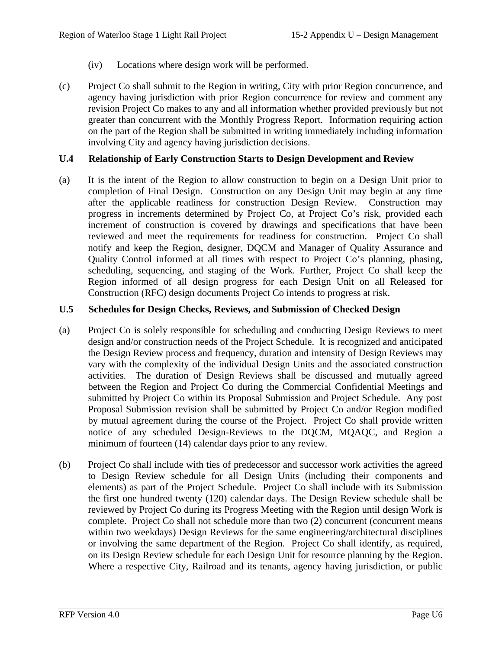- (iv) Locations where design work will be performed.
- (c) Project Co shall submit to the Region in writing, City with prior Region concurrence, and agency having jurisdiction with prior Region concurrence for review and comment any revision Project Co makes to any and all information whether provided previously but not greater than concurrent with the Monthly Progress Report. Information requiring action on the part of the Region shall be submitted in writing immediately including information involving City and agency having jurisdiction decisions.

### **U.4 Relationship of Early Construction Starts to Design Development and Review**

(a) It is the intent of the Region to allow construction to begin on a Design Unit prior to completion of Final Design. Construction on any Design Unit may begin at any time after the applicable readiness for construction Design Review. Construction may progress in increments determined by Project Co, at Project Co's risk, provided each increment of construction is covered by drawings and specifications that have been reviewed and meet the requirements for readiness for construction. Project Co shall notify and keep the Region, designer, DQCM and Manager of Quality Assurance and Quality Control informed at all times with respect to Project Co's planning, phasing, scheduling, sequencing, and staging of the Work. Further, Project Co shall keep the Region informed of all design progress for each Design Unit on all Released for Construction (RFC) design documents Project Co intends to progress at risk.

### **U.5 Schedules for Design Checks, Reviews, and Submission of Checked Design**

- (a) Project Co is solely responsible for scheduling and conducting Design Reviews to meet design and/or construction needs of the Project Schedule. It is recognized and anticipated the Design Review process and frequency, duration and intensity of Design Reviews may vary with the complexity of the individual Design Units and the associated construction activities. The duration of Design Reviews shall be discussed and mutually agreed between the Region and Project Co during the Commercial Confidential Meetings and submitted by Project Co within its Proposal Submission and Project Schedule. Any post Proposal Submission revision shall be submitted by Project Co and/or Region modified by mutual agreement during the course of the Project. Project Co shall provide written notice of any scheduled Design-Reviews to the DQCM, MQAQC, and Region a minimum of fourteen (14) calendar days prior to any review.
- (b) Project Co shall include with ties of predecessor and successor work activities the agreed to Design Review schedule for all Design Units (including their components and elements) as part of the Project Schedule. Project Co shall include with its Submission the first one hundred twenty (120) calendar days. The Design Review schedule shall be reviewed by Project Co during its Progress Meeting with the Region until design Work is complete. Project Co shall not schedule more than two (2) concurrent (concurrent means within two weekdays) Design Reviews for the same engineering/architectural disciplines or involving the same department of the Region. Project Co shall identify, as required, on its Design Review schedule for each Design Unit for resource planning by the Region. Where a respective City, Railroad and its tenants, agency having jurisdiction, or public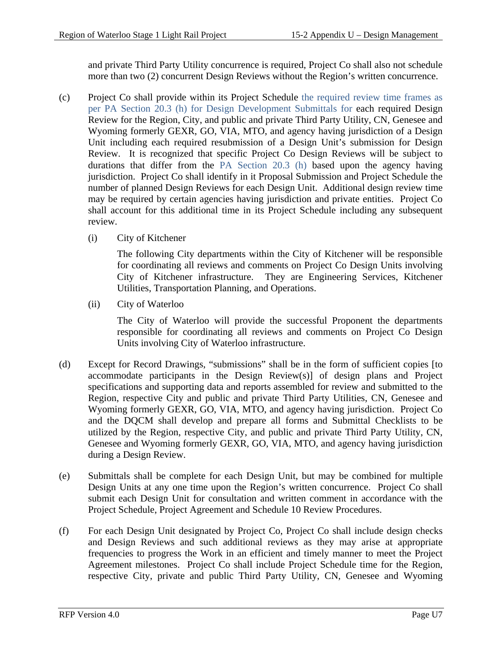and private Third Party Utility concurrence is required, Project Co shall also not schedule more than two (2) concurrent Design Reviews without the Region's written concurrence.

- (c) Project Co shall provide within its Project Schedule the required review time frames as per PA Section 20.3 (h) for Design Development Submittals for each required Design Review for the Region, City, and public and private Third Party Utility, CN, Genesee and Wyoming formerly GEXR, GO, VIA, MTO, and agency having jurisdiction of a Design Unit including each required resubmission of a Design Unit's submission for Design Review. It is recognized that specific Project Co Design Reviews will be subject to durations that differ from the PA Section 20.3 (h) based upon the agency having jurisdiction. Project Co shall identify in it Proposal Submission and Project Schedule the number of planned Design Reviews for each Design Unit. Additional design review time may be required by certain agencies having jurisdiction and private entities. Project Co shall account for this additional time in its Project Schedule including any subsequent review.
	- (i) City of Kitchener

The following City departments within the City of Kitchener will be responsible for coordinating all reviews and comments on Project Co Design Units involving City of Kitchener infrastructure. They are Engineering Services, Kitchener Utilities, Transportation Planning, and Operations.

(ii) City of Waterloo

The City of Waterloo will provide the successful Proponent the departments responsible for coordinating all reviews and comments on Project Co Design Units involving City of Waterloo infrastructure.

- (d) Except for Record Drawings, "submissions" shall be in the form of sufficient copies [to accommodate participants in the Design Review(s)] of design plans and Project specifications and supporting data and reports assembled for review and submitted to the Region, respective City and public and private Third Party Utilities, CN, Genesee and Wyoming formerly GEXR, GO, VIA, MTO, and agency having jurisdiction. Project Co and the DQCM shall develop and prepare all forms and Submittal Checklists to be utilized by the Region, respective City, and public and private Third Party Utility, CN, Genesee and Wyoming formerly GEXR, GO, VIA, MTO, and agency having jurisdiction during a Design Review.
- (e) Submittals shall be complete for each Design Unit, but may be combined for multiple Design Units at any one time upon the Region's written concurrence. Project Co shall submit each Design Unit for consultation and written comment in accordance with the Project Schedule, Project Agreement and Schedule 10 Review Procedures.
- (f) For each Design Unit designated by Project Co, Project Co shall include design checks and Design Reviews and such additional reviews as they may arise at appropriate frequencies to progress the Work in an efficient and timely manner to meet the Project Agreement milestones. Project Co shall include Project Schedule time for the Region, respective City, private and public Third Party Utility, CN, Genesee and Wyoming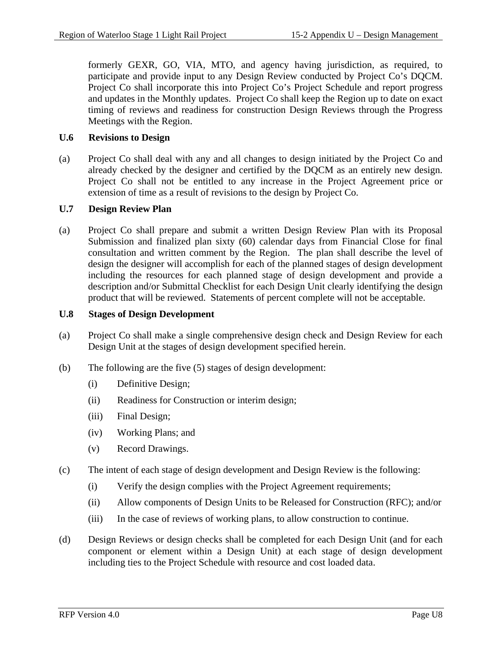formerly GEXR, GO, VIA, MTO, and agency having jurisdiction, as required, to participate and provide input to any Design Review conducted by Project Co's DQCM. Project Co shall incorporate this into Project Co's Project Schedule and report progress and updates in the Monthly updates. Project Co shall keep the Region up to date on exact timing of reviews and readiness for construction Design Reviews through the Progress Meetings with the Region.

### **U.6 Revisions to Design**

(a) Project Co shall deal with any and all changes to design initiated by the Project Co and already checked by the designer and certified by the DQCM as an entirely new design. Project Co shall not be entitled to any increase in the Project Agreement price or extension of time as a result of revisions to the design by Project Co.

### **U.7 Design Review Plan**

(a) Project Co shall prepare and submit a written Design Review Plan with its Proposal Submission and finalized plan sixty (60) calendar days from Financial Close for final consultation and written comment by the Region. The plan shall describe the level of design the designer will accomplish for each of the planned stages of design development including the resources for each planned stage of design development and provide a description and/or Submittal Checklist for each Design Unit clearly identifying the design product that will be reviewed. Statements of percent complete will not be acceptable.

#### **U.8 Stages of Design Development**

- (a) Project Co shall make a single comprehensive design check and Design Review for each Design Unit at the stages of design development specified herein.
- (b) The following are the five (5) stages of design development:
	- (i) Definitive Design;
	- (ii) Readiness for Construction or interim design;
	- (iii) Final Design;
	- (iv) Working Plans; and
	- (v) Record Drawings.
- (c) The intent of each stage of design development and Design Review is the following:
	- (i) Verify the design complies with the Project Agreement requirements;
	- (ii) Allow components of Design Units to be Released for Construction (RFC); and/or
	- (iii) In the case of reviews of working plans, to allow construction to continue.
- (d) Design Reviews or design checks shall be completed for each Design Unit (and for each component or element within a Design Unit) at each stage of design development including ties to the Project Schedule with resource and cost loaded data.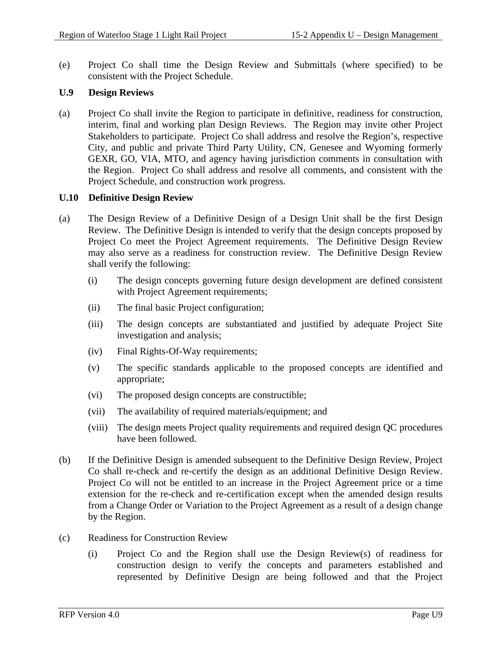(e) Project Co shall time the Design Review and Submittals (where specified) to be consistent with the Project Schedule.

#### **U.9 Design Reviews**

(a) Project Co shall invite the Region to participate in definitive, readiness for construction, interim, final and working plan Design Reviews. The Region may invite other Project Stakeholders to participate. Project Co shall address and resolve the Region's, respective City, and public and private Third Party Utility, CN, Genesee and Wyoming formerly GEXR, GO, VIA, MTO, and agency having jurisdiction comments in consultation with the Region. Project Co shall address and resolve all comments, and consistent with the Project Schedule, and construction work progress.

#### **U.10 Definitive Design Review**

- (a) The Design Review of a Definitive Design of a Design Unit shall be the first Design Review. The Definitive Design is intended to verify that the design concepts proposed by Project Co meet the Project Agreement requirements. The Definitive Design Review may also serve as a readiness for construction review. The Definitive Design Review shall verify the following:
	- (i) The design concepts governing future design development are defined consistent with Project Agreement requirements;
	- (ii) The final basic Project configuration;
	- (iii) The design concepts are substantiated and justified by adequate Project Site investigation and analysis;
	- (iv) Final Rights-Of-Way requirements;
	- (v) The specific standards applicable to the proposed concepts are identified and appropriate;
	- (vi) The proposed design concepts are constructible;
	- (vii) The availability of required materials/equipment; and
	- (viii) The design meets Project quality requirements and required design QC procedures have been followed.
- (b) If the Definitive Design is amended subsequent to the Definitive Design Review, Project Co shall re-check and re-certify the design as an additional Definitive Design Review. Project Co will not be entitled to an increase in the Project Agreement price or a time extension for the re-check and re-certification except when the amended design results from a Change Order or Variation to the Project Agreement as a result of a design change by the Region.
- (c) Readiness for Construction Review
	- (i) Project Co and the Region shall use the Design Review(s) of readiness for construction design to verify the concepts and parameters established and represented by Definitive Design are being followed and that the Project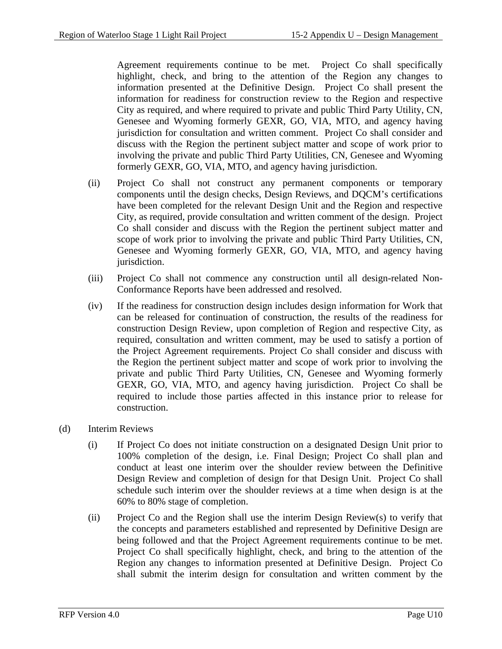Agreement requirements continue to be met. Project Co shall specifically highlight, check, and bring to the attention of the Region any changes to information presented at the Definitive Design. Project Co shall present the information for readiness for construction review to the Region and respective City as required, and where required to private and public Third Party Utility, CN, Genesee and Wyoming formerly GEXR, GO, VIA, MTO, and agency having jurisdiction for consultation and written comment. Project Co shall consider and discuss with the Region the pertinent subject matter and scope of work prior to involving the private and public Third Party Utilities, CN, Genesee and Wyoming formerly GEXR, GO, VIA, MTO, and agency having jurisdiction.

- (ii) Project Co shall not construct any permanent components or temporary components until the design checks, Design Reviews, and DQCM's certifications have been completed for the relevant Design Unit and the Region and respective City, as required, provide consultation and written comment of the design. Project Co shall consider and discuss with the Region the pertinent subject matter and scope of work prior to involving the private and public Third Party Utilities, CN, Genesee and Wyoming formerly GEXR, GO, VIA, MTO, and agency having jurisdiction.
- (iii) Project Co shall not commence any construction until all design-related Non-Conformance Reports have been addressed and resolved.
- (iv) If the readiness for construction design includes design information for Work that can be released for continuation of construction, the results of the readiness for construction Design Review, upon completion of Region and respective City, as required, consultation and written comment, may be used to satisfy a portion of the Project Agreement requirements. Project Co shall consider and discuss with the Region the pertinent subject matter and scope of work prior to involving the private and public Third Party Utilities, CN, Genesee and Wyoming formerly GEXR, GO, VIA, MTO, and agency having jurisdiction. Project Co shall be required to include those parties affected in this instance prior to release for construction.
- (d) Interim Reviews
	- (i) If Project Co does not initiate construction on a designated Design Unit prior to 100% completion of the design, i.e. Final Design; Project Co shall plan and conduct at least one interim over the shoulder review between the Definitive Design Review and completion of design for that Design Unit. Project Co shall schedule such interim over the shoulder reviews at a time when design is at the 60% to 80% stage of completion.
	- (ii) Project Co and the Region shall use the interim Design Review(s) to verify that the concepts and parameters established and represented by Definitive Design are being followed and that the Project Agreement requirements continue to be met. Project Co shall specifically highlight, check, and bring to the attention of the Region any changes to information presented at Definitive Design. Project Co shall submit the interim design for consultation and written comment by the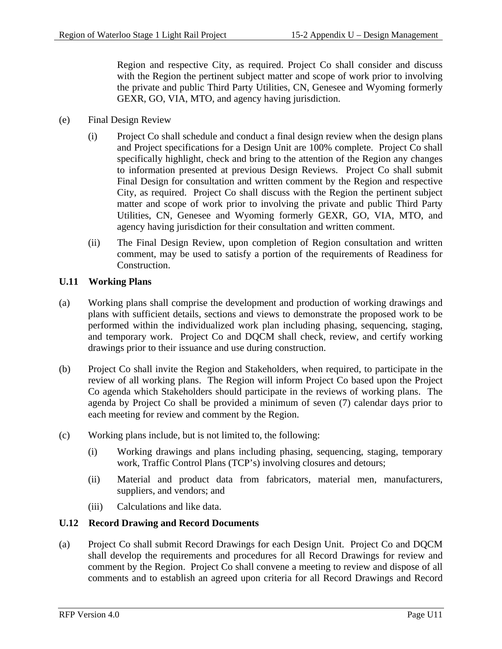Region and respective City, as required. Project Co shall consider and discuss with the Region the pertinent subject matter and scope of work prior to involving the private and public Third Party Utilities, CN, Genesee and Wyoming formerly GEXR, GO, VIA, MTO, and agency having jurisdiction.

- (e) Final Design Review
	- (i) Project Co shall schedule and conduct a final design review when the design plans and Project specifications for a Design Unit are 100% complete. Project Co shall specifically highlight, check and bring to the attention of the Region any changes to information presented at previous Design Reviews. Project Co shall submit Final Design for consultation and written comment by the Region and respective City, as required. Project Co shall discuss with the Region the pertinent subject matter and scope of work prior to involving the private and public Third Party Utilities, CN, Genesee and Wyoming formerly GEXR, GO, VIA, MTO, and agency having jurisdiction for their consultation and written comment.
	- (ii) The Final Design Review, upon completion of Region consultation and written comment, may be used to satisfy a portion of the requirements of Readiness for Construction.

### **U.11 Working Plans**

- (a) Working plans shall comprise the development and production of working drawings and plans with sufficient details, sections and views to demonstrate the proposed work to be performed within the individualized work plan including phasing, sequencing, staging, and temporary work. Project Co and DQCM shall check, review, and certify working drawings prior to their issuance and use during construction.
- (b) Project Co shall invite the Region and Stakeholders, when required, to participate in the review of all working plans. The Region will inform Project Co based upon the Project Co agenda which Stakeholders should participate in the reviews of working plans. The agenda by Project Co shall be provided a minimum of seven (7) calendar days prior to each meeting for review and comment by the Region.
- (c) Working plans include, but is not limited to, the following:
	- (i) Working drawings and plans including phasing, sequencing, staging, temporary work, Traffic Control Plans (TCP's) involving closures and detours;
	- (ii) Material and product data from fabricators, material men, manufacturers, suppliers, and vendors; and
	- (iii) Calculations and like data.

### **U.12 Record Drawing and Record Documents**

(a) Project Co shall submit Record Drawings for each Design Unit. Project Co and DQCM shall develop the requirements and procedures for all Record Drawings for review and comment by the Region. Project Co shall convene a meeting to review and dispose of all comments and to establish an agreed upon criteria for all Record Drawings and Record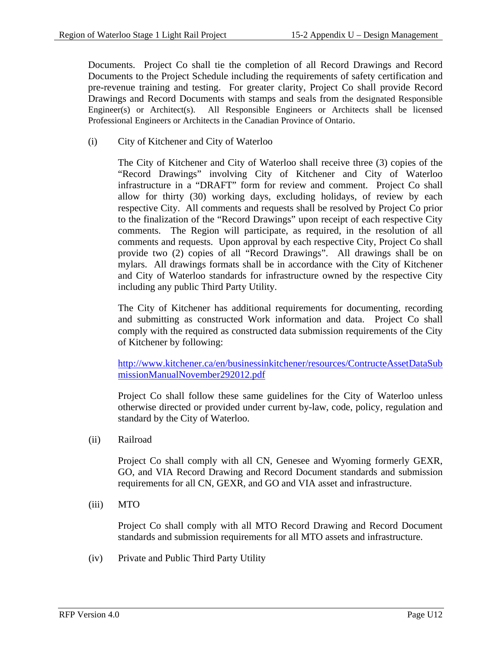Documents. Project Co shall tie the completion of all Record Drawings and Record Documents to the Project Schedule including the requirements of safety certification and pre-revenue training and testing. For greater clarity, Project Co shall provide Record Drawings and Record Documents with stamps and seals from the designated Responsible Engineer(s) or Architect(s). All Responsible Engineers or Architects shall be licensed Professional Engineers or Architects in the Canadian Province of Ontario.

(i) City of Kitchener and City of Waterloo

The City of Kitchener and City of Waterloo shall receive three (3) copies of the "Record Drawings" involving City of Kitchener and City of Waterloo infrastructure in a "DRAFT" form for review and comment. Project Co shall allow for thirty (30) working days, excluding holidays, of review by each respective City. All comments and requests shall be resolved by Project Co prior to the finalization of the "Record Drawings" upon receipt of each respective City comments. The Region will participate, as required, in the resolution of all comments and requests. Upon approval by each respective City, Project Co shall provide two (2) copies of all "Record Drawings". All drawings shall be on mylars. All drawings formats shall be in accordance with the City of Kitchener and City of Waterloo standards for infrastructure owned by the respective City including any public Third Party Utility.

The City of Kitchener has additional requirements for documenting, recording and submitting as constructed Work information and data. Project Co shall comply with the required as constructed data submission requirements of the City of Kitchener by following:

http://www.kitchener.ca/en/businessinkitchener/resources/ContructeAssetDataSub missionManualNovember292012.pdf

Project Co shall follow these same guidelines for the City of Waterloo unless otherwise directed or provided under current by-law, code, policy, regulation and standard by the City of Waterloo.

(ii) Railroad

Project Co shall comply with all CN, Genesee and Wyoming formerly GEXR, GO, and VIA Record Drawing and Record Document standards and submission requirements for all CN, GEXR, and GO and VIA asset and infrastructure.

(iii) MTO

Project Co shall comply with all MTO Record Drawing and Record Document standards and submission requirements for all MTO assets and infrastructure.

(iv) Private and Public Third Party Utility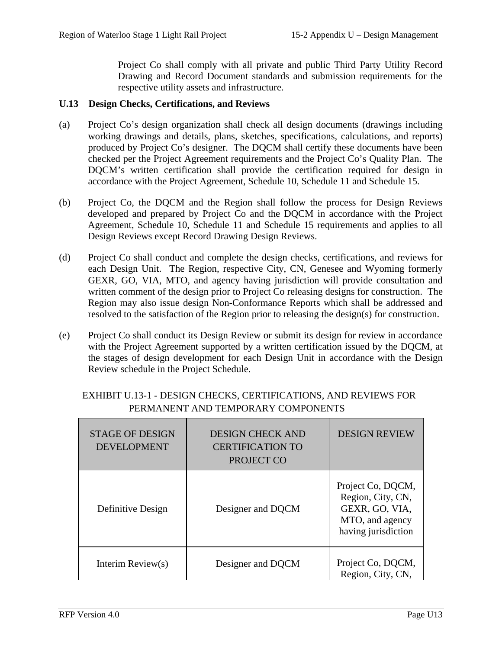Project Co shall comply with all private and public Third Party Utility Record Drawing and Record Document standards and submission requirements for the respective utility assets and infrastructure.

#### **U.13 Design Checks, Certifications, and Reviews**

- (a) Project Co's design organization shall check all design documents (drawings including working drawings and details, plans, sketches, specifications, calculations, and reports) produced by Project Co's designer. The DQCM shall certify these documents have been checked per the Project Agreement requirements and the Project Co's Quality Plan. The DQCM's written certification shall provide the certification required for design in accordance with the Project Agreement, Schedule 10, Schedule 11 and Schedule 15.
- (b) Project Co, the DQCM and the Region shall follow the process for Design Reviews developed and prepared by Project Co and the DQCM in accordance with the Project Agreement, Schedule 10, Schedule 11 and Schedule 15 requirements and applies to all Design Reviews except Record Drawing Design Reviews.
- (d) Project Co shall conduct and complete the design checks, certifications, and reviews for each Design Unit. The Region, respective City, CN, Genesee and Wyoming formerly GEXR, GO, VIA, MTO, and agency having jurisdiction will provide consultation and written comment of the design prior to Project Co releasing designs for construction. The Region may also issue design Non-Conformance Reports which shall be addressed and resolved to the satisfaction of the Region prior to releasing the design(s) for construction.
- (e) Project Co shall conduct its Design Review or submit its design for review in accordance with the Project Agreement supported by a written certification issued by the DQCM, at the stages of design development for each Design Unit in accordance with the Design Review schedule in the Project Schedule.

| <b>STAGE OF DESIGN</b><br><b>DEVELOPMENT</b> | <b>DESIGN CHECK AND</b><br><b>CERTIFICATION TO</b><br>PROJECT CO | <b>DESIGN REVIEW</b>                                                                               |
|----------------------------------------------|------------------------------------------------------------------|----------------------------------------------------------------------------------------------------|
| Definitive Design                            | Designer and DQCM                                                | Project Co, DQCM,<br>Region, City, CN,<br>GEXR, GO, VIA,<br>MTO, and agency<br>having jurisdiction |
| Interim Review $(s)$                         | Designer and DOCM                                                | Project Co, DQCM,<br>Region, City, CN,                                                             |

# EXHIBIT U.13-1 - DESIGN CHECKS, CERTIFICATIONS, AND REVIEWS FOR PERMANENT AND TEMPORARY COMPONENTS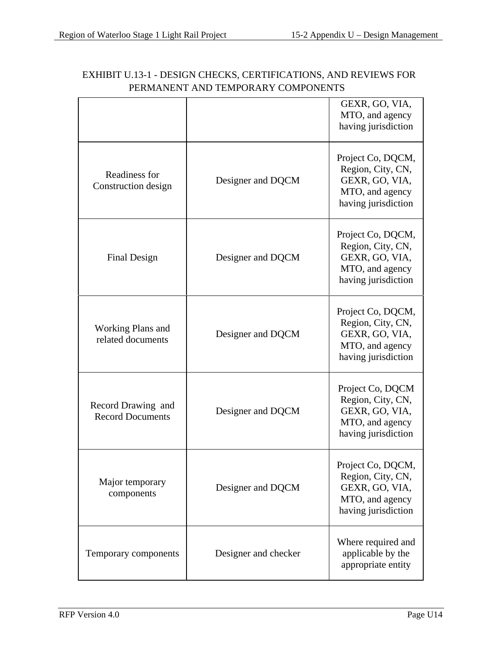|                                               |                      | GEXR, GO, VIA,<br>MTO, and agency<br>having jurisdiction                                           |
|-----------------------------------------------|----------------------|----------------------------------------------------------------------------------------------------|
| Readiness for<br>Construction design          | Designer and DQCM    | Project Co, DQCM,<br>Region, City, CN,<br>GEXR, GO, VIA,<br>MTO, and agency<br>having jurisdiction |
| Final Design                                  | Designer and DQCM    | Project Co, DQCM,<br>Region, City, CN,<br>GEXR, GO, VIA,<br>MTO, and agency<br>having jurisdiction |
| <b>Working Plans and</b><br>related documents | Designer and DQCM    | Project Co, DQCM,<br>Region, City, CN,<br>GEXR, GO, VIA,<br>MTO, and agency<br>having jurisdiction |
| Record Drawing and<br><b>Record Documents</b> | Designer and DQCM    | Project Co, DQCM<br>Region, City, CN,<br>GEXR, GO, VIA,<br>MTO, and agency<br>having jurisdiction  |
| Major temporary<br>components                 | Designer and DQCM    | Project Co, DQCM<br>Region, City, CN,<br>GEXR, GO, VIA,<br>MTO, and agency<br>having jurisdiction  |
| Temporary components                          | Designer and checker | Where required and<br>applicable by the<br>appropriate entity                                      |

# EXHIBIT U.13-1 - DESIGN CHECKS, CERTIFICATIONS, AND REVIEWS FOR PERMANENT AND TEMPORARY COMPONENTS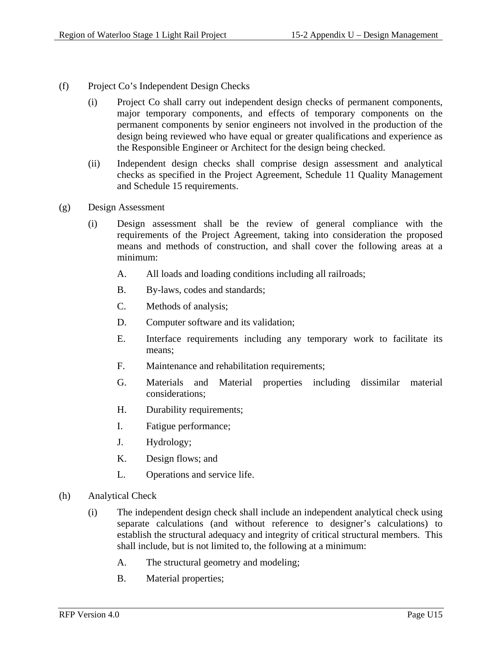- (f) Project Co's Independent Design Checks
	- (i) Project Co shall carry out independent design checks of permanent components, major temporary components, and effects of temporary components on the permanent components by senior engineers not involved in the production of the design being reviewed who have equal or greater qualifications and experience as the Responsible Engineer or Architect for the design being checked.
	- (ii) Independent design checks shall comprise design assessment and analytical checks as specified in the Project Agreement, Schedule 11 Quality Management and Schedule 15 requirements.
- (g) Design Assessment
	- (i) Design assessment shall be the review of general compliance with the requirements of the Project Agreement, taking into consideration the proposed means and methods of construction, and shall cover the following areas at a minimum:
		- A. All loads and loading conditions including all railroads;
		- B. By-laws, codes and standards;
		- C. Methods of analysis;
		- D. Computer software and its validation;
		- E. Interface requirements including any temporary work to facilitate its means;
		- F. Maintenance and rehabilitation requirements;
		- G. Materials and Material properties including dissimilar material considerations;
		- H. Durability requirements;
		- I. Fatigue performance;
		- J. Hydrology;
		- K. Design flows; and
		- L. Operations and service life.
- (h) Analytical Check
	- (i) The independent design check shall include an independent analytical check using separate calculations (and without reference to designer's calculations) to establish the structural adequacy and integrity of critical structural members. This shall include, but is not limited to, the following at a minimum:
		- A. The structural geometry and modeling;
		- B. Material properties;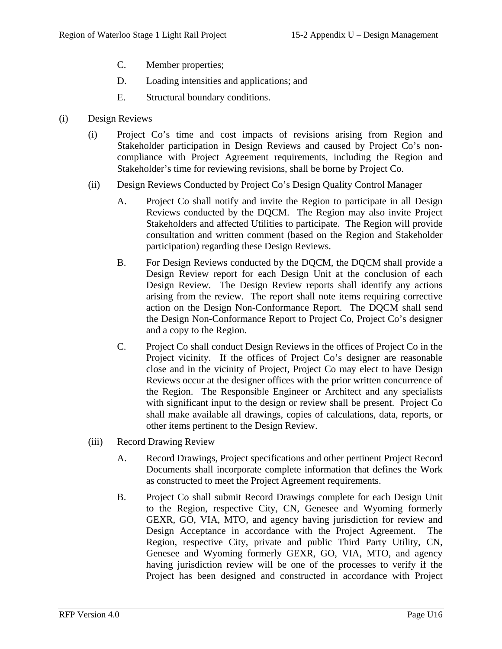- C. Member properties;
- D. Loading intensities and applications; and
- E. Structural boundary conditions.
- (i) Design Reviews
	- (i) Project Co's time and cost impacts of revisions arising from Region and Stakeholder participation in Design Reviews and caused by Project Co's noncompliance with Project Agreement requirements, including the Region and Stakeholder's time for reviewing revisions, shall be borne by Project Co.
	- (ii) Design Reviews Conducted by Project Co's Design Quality Control Manager
		- A. Project Co shall notify and invite the Region to participate in all Design Reviews conducted by the DQCM. The Region may also invite Project Stakeholders and affected Utilities to participate. The Region will provide consultation and written comment (based on the Region and Stakeholder participation) regarding these Design Reviews.
		- B. For Design Reviews conducted by the DQCM, the DQCM shall provide a Design Review report for each Design Unit at the conclusion of each Design Review. The Design Review reports shall identify any actions arising from the review. The report shall note items requiring corrective action on the Design Non-Conformance Report. The DQCM shall send the Design Non-Conformance Report to Project Co, Project Co's designer and a copy to the Region.
		- C. Project Co shall conduct Design Reviews in the offices of Project Co in the Project vicinity. If the offices of Project Co's designer are reasonable close and in the vicinity of Project, Project Co may elect to have Design Reviews occur at the designer offices with the prior written concurrence of the Region. The Responsible Engineer or Architect and any specialists with significant input to the design or review shall be present. Project Co shall make available all drawings, copies of calculations, data, reports, or other items pertinent to the Design Review.
	- (iii) Record Drawing Review
		- A. Record Drawings, Project specifications and other pertinent Project Record Documents shall incorporate complete information that defines the Work as constructed to meet the Project Agreement requirements.
		- B. Project Co shall submit Record Drawings complete for each Design Unit to the Region, respective City, CN, Genesee and Wyoming formerly GEXR, GO, VIA, MTO, and agency having jurisdiction for review and Design Acceptance in accordance with the Project Agreement. The Region, respective City, private and public Third Party Utility, CN, Genesee and Wyoming formerly GEXR, GO, VIA, MTO, and agency having jurisdiction review will be one of the processes to verify if the Project has been designed and constructed in accordance with Project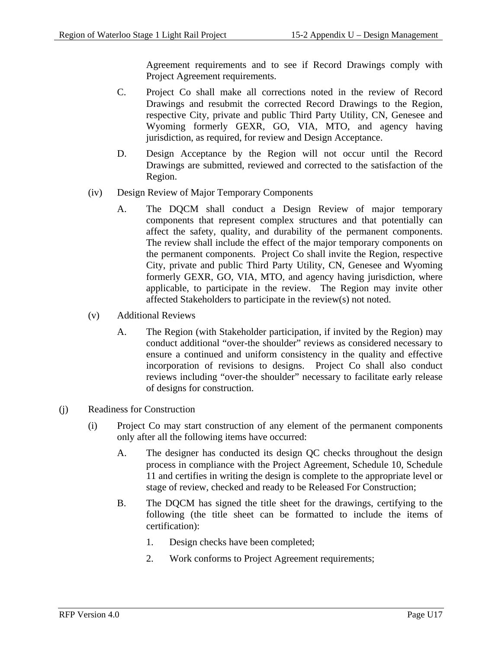Agreement requirements and to see if Record Drawings comply with Project Agreement requirements.

- C. Project Co shall make all corrections noted in the review of Record Drawings and resubmit the corrected Record Drawings to the Region, respective City, private and public Third Party Utility, CN, Genesee and Wyoming formerly GEXR, GO, VIA, MTO, and agency having jurisdiction, as required, for review and Design Acceptance.
- D. Design Acceptance by the Region will not occur until the Record Drawings are submitted, reviewed and corrected to the satisfaction of the Region.
- (iv) Design Review of Major Temporary Components
	- A. The DQCM shall conduct a Design Review of major temporary components that represent complex structures and that potentially can affect the safety, quality, and durability of the permanent components. The review shall include the effect of the major temporary components on the permanent components. Project Co shall invite the Region, respective City, private and public Third Party Utility, CN, Genesee and Wyoming formerly GEXR, GO, VIA, MTO, and agency having jurisdiction, where applicable, to participate in the review. The Region may invite other affected Stakeholders to participate in the review(s) not noted.
- (v) Additional Reviews
	- A. The Region (with Stakeholder participation, if invited by the Region) may conduct additional "over-the shoulder" reviews as considered necessary to ensure a continued and uniform consistency in the quality and effective incorporation of revisions to designs. Project Co shall also conduct reviews including "over-the shoulder" necessary to facilitate early release of designs for construction.
- (j) Readiness for Construction
	- (i) Project Co may start construction of any element of the permanent components only after all the following items have occurred:
		- A. The designer has conducted its design QC checks throughout the design process in compliance with the Project Agreement, Schedule 10, Schedule 11 and certifies in writing the design is complete to the appropriate level or stage of review, checked and ready to be Released For Construction;
		- B. The DQCM has signed the title sheet for the drawings, certifying to the following (the title sheet can be formatted to include the items of certification):
			- 1. Design checks have been completed;
			- 2. Work conforms to Project Agreement requirements;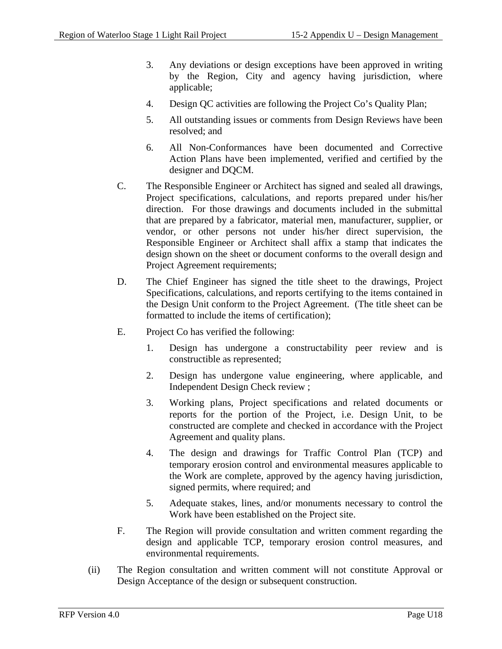- 3. Any deviations or design exceptions have been approved in writing by the Region, City and agency having jurisdiction, where applicable;
- 4. Design QC activities are following the Project Co's Quality Plan;
- 5. All outstanding issues or comments from Design Reviews have been resolved; and
- 6. All Non-Conformances have been documented and Corrective Action Plans have been implemented, verified and certified by the designer and DQCM.
- C. The Responsible Engineer or Architect has signed and sealed all drawings, Project specifications, calculations, and reports prepared under his/her direction. For those drawings and documents included in the submittal that are prepared by a fabricator, material men, manufacturer, supplier, or vendor, or other persons not under his/her direct supervision, the Responsible Engineer or Architect shall affix a stamp that indicates the design shown on the sheet or document conforms to the overall design and Project Agreement requirements;
- D. The Chief Engineer has signed the title sheet to the drawings, Project Specifications, calculations, and reports certifying to the items contained in the Design Unit conform to the Project Agreement. (The title sheet can be formatted to include the items of certification);
- E. Project Co has verified the following:
	- 1. Design has undergone a constructability peer review and is constructible as represented;
	- 2. Design has undergone value engineering, where applicable, and Independent Design Check review ;
	- 3. Working plans, Project specifications and related documents or reports for the portion of the Project, i.e. Design Unit, to be constructed are complete and checked in accordance with the Project Agreement and quality plans.
	- 4. The design and drawings for Traffic Control Plan (TCP) and temporary erosion control and environmental measures applicable to the Work are complete, approved by the agency having jurisdiction, signed permits, where required; and
	- 5. Adequate stakes, lines, and/or monuments necessary to control the Work have been established on the Project site.
- F. The Region will provide consultation and written comment regarding the design and applicable TCP, temporary erosion control measures, and environmental requirements.
- (ii) The Region consultation and written comment will not constitute Approval or Design Acceptance of the design or subsequent construction.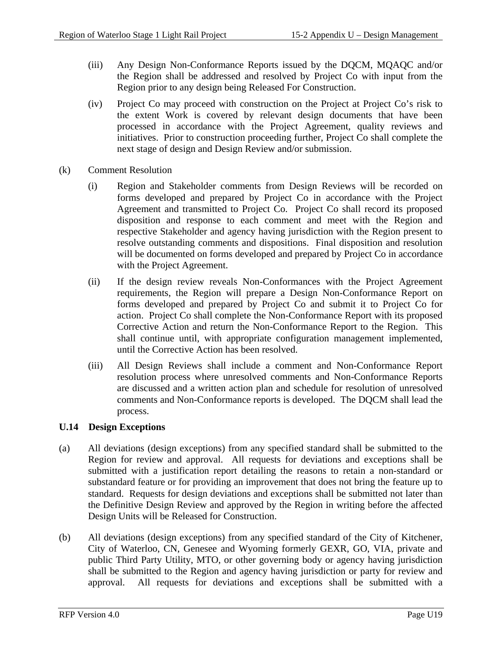- (iii) Any Design Non-Conformance Reports issued by the DQCM, MQAQC and/or the Region shall be addressed and resolved by Project Co with input from the Region prior to any design being Released For Construction.
- (iv) Project Co may proceed with construction on the Project at Project Co's risk to the extent Work is covered by relevant design documents that have been processed in accordance with the Project Agreement, quality reviews and initiatives. Prior to construction proceeding further, Project Co shall complete the next stage of design and Design Review and/or submission.
- (k) Comment Resolution
	- (i) Region and Stakeholder comments from Design Reviews will be recorded on forms developed and prepared by Project Co in accordance with the Project Agreement and transmitted to Project Co. Project Co shall record its proposed disposition and response to each comment and meet with the Region and respective Stakeholder and agency having jurisdiction with the Region present to resolve outstanding comments and dispositions. Final disposition and resolution will be documented on forms developed and prepared by Project Co in accordance with the Project Agreement.
	- (ii) If the design review reveals Non-Conformances with the Project Agreement requirements, the Region will prepare a Design Non-Conformance Report on forms developed and prepared by Project Co and submit it to Project Co for action. Project Co shall complete the Non-Conformance Report with its proposed Corrective Action and return the Non-Conformance Report to the Region. This shall continue until, with appropriate configuration management implemented, until the Corrective Action has been resolved.
	- (iii) All Design Reviews shall include a comment and Non-Conformance Report resolution process where unresolved comments and Non-Conformance Reports are discussed and a written action plan and schedule for resolution of unresolved comments and Non-Conformance reports is developed. The DQCM shall lead the process.

#### **U.14 Design Exceptions**

- (a) All deviations (design exceptions) from any specified standard shall be submitted to the Region for review and approval. All requests for deviations and exceptions shall be submitted with a justification report detailing the reasons to retain a non-standard or substandard feature or for providing an improvement that does not bring the feature up to standard. Requests for design deviations and exceptions shall be submitted not later than the Definitive Design Review and approved by the Region in writing before the affected Design Units will be Released for Construction.
- (b) All deviations (design exceptions) from any specified standard of the City of Kitchener, City of Waterloo, CN, Genesee and Wyoming formerly GEXR, GO, VIA, private and public Third Party Utility, MTO, or other governing body or agency having jurisdiction shall be submitted to the Region and agency having jurisdiction or party for review and approval. All requests for deviations and exceptions shall be submitted with a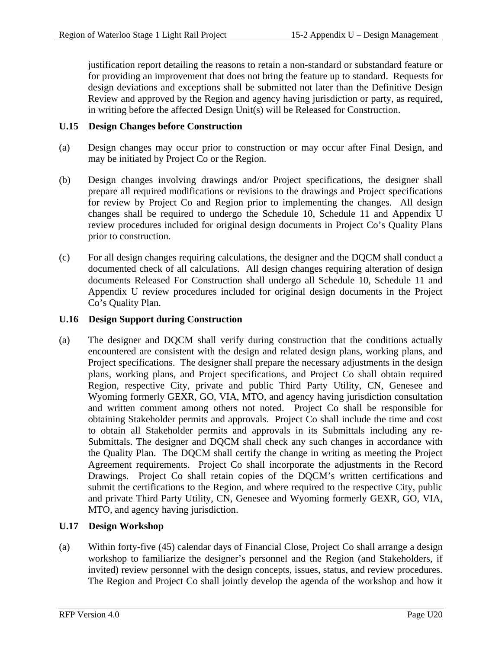justification report detailing the reasons to retain a non-standard or substandard feature or for providing an improvement that does not bring the feature up to standard. Requests for design deviations and exceptions shall be submitted not later than the Definitive Design Review and approved by the Region and agency having jurisdiction or party, as required, in writing before the affected Design Unit(s) will be Released for Construction.

### **U.15 Design Changes before Construction**

- (a) Design changes may occur prior to construction or may occur after Final Design, and may be initiated by Project Co or the Region.
- (b) Design changes involving drawings and/or Project specifications, the designer shall prepare all required modifications or revisions to the drawings and Project specifications for review by Project Co and Region prior to implementing the changes. All design changes shall be required to undergo the Schedule 10, Schedule 11 and Appendix U review procedures included for original design documents in Project Co's Quality Plans prior to construction.
- (c) For all design changes requiring calculations, the designer and the DQCM shall conduct a documented check of all calculations. All design changes requiring alteration of design documents Released For Construction shall undergo all Schedule 10, Schedule 11 and Appendix U review procedures included for original design documents in the Project Co's Quality Plan.

### **U.16 Design Support during Construction**

(a) The designer and DQCM shall verify during construction that the conditions actually encountered are consistent with the design and related design plans, working plans, and Project specifications. The designer shall prepare the necessary adjustments in the design plans, working plans, and Project specifications, and Project Co shall obtain required Region, respective City, private and public Third Party Utility, CN, Genesee and Wyoming formerly GEXR, GO, VIA, MTO, and agency having jurisdiction consultation and written comment among others not noted. Project Co shall be responsible for obtaining Stakeholder permits and approvals. Project Co shall include the time and cost to obtain all Stakeholder permits and approvals in its Submittals including any re-Submittals. The designer and DQCM shall check any such changes in accordance with the Quality Plan. The DQCM shall certify the change in writing as meeting the Project Agreement requirements. Project Co shall incorporate the adjustments in the Record Drawings. Project Co shall retain copies of the DQCM's written certifications and submit the certifications to the Region, and where required to the respective City, public and private Third Party Utility, CN, Genesee and Wyoming formerly GEXR, GO, VIA, MTO, and agency having jurisdiction.

## **U.17 Design Workshop**

(a) Within forty-five (45) calendar days of Financial Close, Project Co shall arrange a design workshop to familiarize the designer's personnel and the Region (and Stakeholders, if invited) review personnel with the design concepts, issues, status, and review procedures. The Region and Project Co shall jointly develop the agenda of the workshop and how it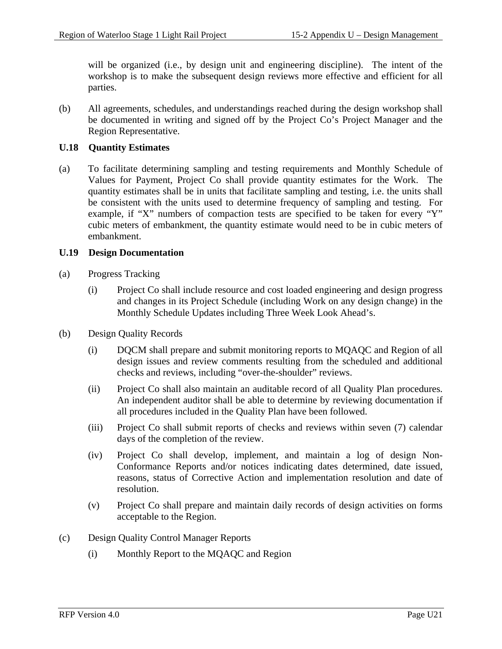will be organized (i.e., by design unit and engineering discipline). The intent of the workshop is to make the subsequent design reviews more effective and efficient for all parties.

(b) All agreements, schedules, and understandings reached during the design workshop shall be documented in writing and signed off by the Project Co's Project Manager and the Region Representative.

### **U.18 Quantity Estimates**

(a) To facilitate determining sampling and testing requirements and Monthly Schedule of Values for Payment, Project Co shall provide quantity estimates for the Work. The quantity estimates shall be in units that facilitate sampling and testing, i.e. the units shall be consistent with the units used to determine frequency of sampling and testing. For example, if "X" numbers of compaction tests are specified to be taken for every "Y" cubic meters of embankment, the quantity estimate would need to be in cubic meters of embankment.

### **U.19 Design Documentation**

- (a) Progress Tracking
	- (i) Project Co shall include resource and cost loaded engineering and design progress and changes in its Project Schedule (including Work on any design change) in the Monthly Schedule Updates including Three Week Look Ahead's.
- (b) Design Quality Records
	- (i) DQCM shall prepare and submit monitoring reports to MQAQC and Region of all design issues and review comments resulting from the scheduled and additional checks and reviews, including "over-the-shoulder" reviews.
	- (ii) Project Co shall also maintain an auditable record of all Quality Plan procedures. An independent auditor shall be able to determine by reviewing documentation if all procedures included in the Quality Plan have been followed.
	- (iii) Project Co shall submit reports of checks and reviews within seven (7) calendar days of the completion of the review.
	- (iv) Project Co shall develop, implement, and maintain a log of design Non-Conformance Reports and/or notices indicating dates determined, date issued, reasons, status of Corrective Action and implementation resolution and date of resolution.
	- (v) Project Co shall prepare and maintain daily records of design activities on forms acceptable to the Region.
- (c) Design Quality Control Manager Reports
	- (i) Monthly Report to the MQAQC and Region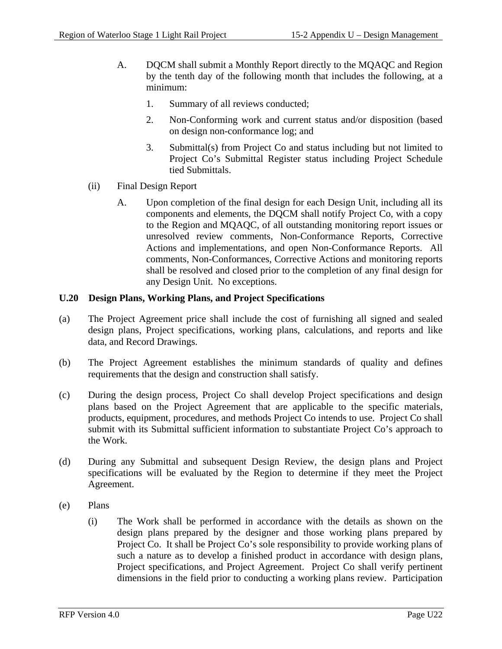- A. DQCM shall submit a Monthly Report directly to the MQAQC and Region by the tenth day of the following month that includes the following, at a minimum:
	- 1. Summary of all reviews conducted;
	- 2. Non-Conforming work and current status and/or disposition (based on design non-conformance log; and
	- 3. Submittal(s) from Project Co and status including but not limited to Project Co's Submittal Register status including Project Schedule tied Submittals.
- (ii) Final Design Report
	- A. Upon completion of the final design for each Design Unit, including all its components and elements, the DQCM shall notify Project Co, with a copy to the Region and MQAQC, of all outstanding monitoring report issues or unresolved review comments, Non-Conformance Reports, Corrective Actions and implementations, and open Non-Conformance Reports. All comments, Non-Conformances, Corrective Actions and monitoring reports shall be resolved and closed prior to the completion of any final design for any Design Unit. No exceptions.

### **U.20 Design Plans, Working Plans, and Project Specifications**

- (a) The Project Agreement price shall include the cost of furnishing all signed and sealed design plans, Project specifications, working plans, calculations, and reports and like data, and Record Drawings.
- (b) The Project Agreement establishes the minimum standards of quality and defines requirements that the design and construction shall satisfy.
- (c) During the design process, Project Co shall develop Project specifications and design plans based on the Project Agreement that are applicable to the specific materials, products, equipment, procedures, and methods Project Co intends to use. Project Co shall submit with its Submittal sufficient information to substantiate Project Co's approach to the Work.
- (d) During any Submittal and subsequent Design Review, the design plans and Project specifications will be evaluated by the Region to determine if they meet the Project Agreement.
- (e) Plans
	- (i) The Work shall be performed in accordance with the details as shown on the design plans prepared by the designer and those working plans prepared by Project Co. It shall be Project Co's sole responsibility to provide working plans of such a nature as to develop a finished product in accordance with design plans, Project specifications, and Project Agreement. Project Co shall verify pertinent dimensions in the field prior to conducting a working plans review. Participation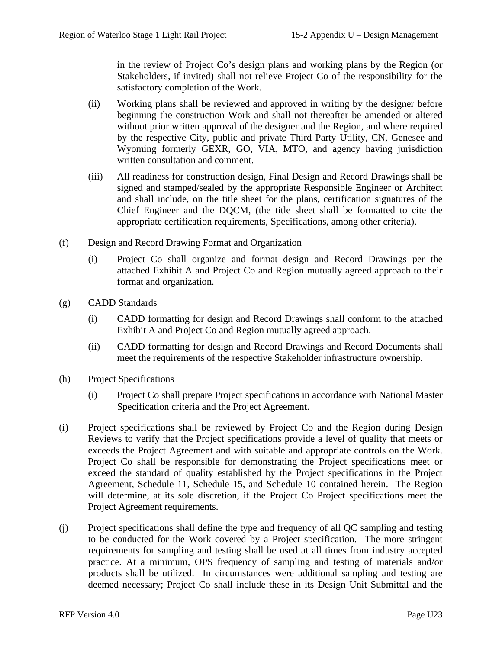in the review of Project Co's design plans and working plans by the Region (or Stakeholders, if invited) shall not relieve Project Co of the responsibility for the satisfactory completion of the Work.

- (ii) Working plans shall be reviewed and approved in writing by the designer before beginning the construction Work and shall not thereafter be amended or altered without prior written approval of the designer and the Region, and where required by the respective City, public and private Third Party Utility, CN, Genesee and Wyoming formerly GEXR, GO, VIA, MTO, and agency having jurisdiction written consultation and comment.
- (iii) All readiness for construction design, Final Design and Record Drawings shall be signed and stamped/sealed by the appropriate Responsible Engineer or Architect and shall include, on the title sheet for the plans, certification signatures of the Chief Engineer and the DQCM, (the title sheet shall be formatted to cite the appropriate certification requirements, Specifications, among other criteria).
- (f) Design and Record Drawing Format and Organization
	- (i) Project Co shall organize and format design and Record Drawings per the attached Exhibit A and Project Co and Region mutually agreed approach to their format and organization.
- (g) CADD Standards
	- (i) CADD formatting for design and Record Drawings shall conform to the attached Exhibit A and Project Co and Region mutually agreed approach.
	- (ii) CADD formatting for design and Record Drawings and Record Documents shall meet the requirements of the respective Stakeholder infrastructure ownership.
- (h) Project Specifications
	- (i) Project Co shall prepare Project specifications in accordance with National Master Specification criteria and the Project Agreement.
- (i) Project specifications shall be reviewed by Project Co and the Region during Design Reviews to verify that the Project specifications provide a level of quality that meets or exceeds the Project Agreement and with suitable and appropriate controls on the Work. Project Co shall be responsible for demonstrating the Project specifications meet or exceed the standard of quality established by the Project specifications in the Project Agreement, Schedule 11, Schedule 15, and Schedule 10 contained herein. The Region will determine, at its sole discretion, if the Project Co Project specifications meet the Project Agreement requirements.
- (j) Project specifications shall define the type and frequency of all QC sampling and testing to be conducted for the Work covered by a Project specification. The more stringent requirements for sampling and testing shall be used at all times from industry accepted practice. At a minimum, OPS frequency of sampling and testing of materials and/or products shall be utilized. In circumstances were additional sampling and testing are deemed necessary; Project Co shall include these in its Design Unit Submittal and the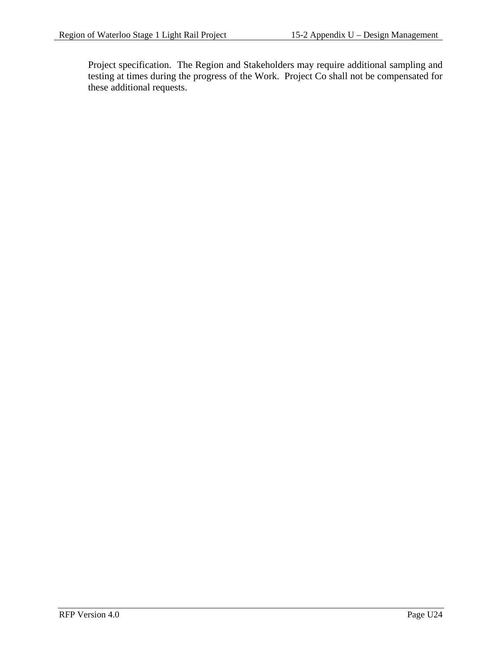Project specification. The Region and Stakeholders may require additional sampling and testing at times during the progress of the Work. Project Co shall not be compensated for these additional requests.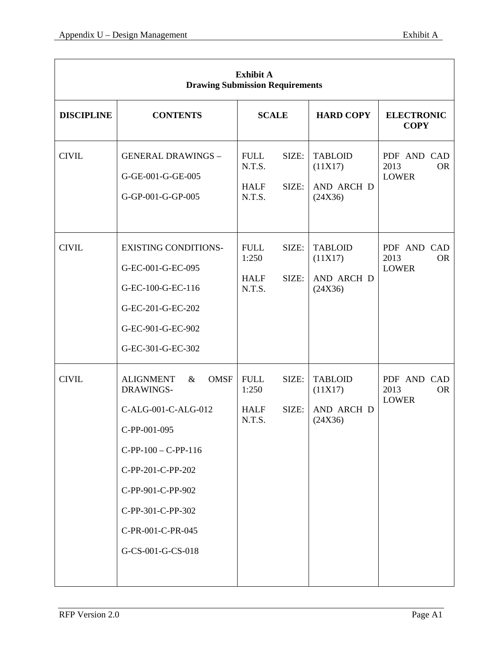| <b>Exhibit A</b><br><b>Drawing Submission Requirements</b> |                                                                                                                                                                                                                               |                                                                  |                                                    |                                                  |
|------------------------------------------------------------|-------------------------------------------------------------------------------------------------------------------------------------------------------------------------------------------------------------------------------|------------------------------------------------------------------|----------------------------------------------------|--------------------------------------------------|
| <b>DISCIPLINE</b>                                          | <b>CONTENTS</b>                                                                                                                                                                                                               | <b>SCALE</b>                                                     | <b>HARD COPY</b>                                   | <b>ELECTRONIC</b><br><b>COPY</b>                 |
| <b>CIVIL</b>                                               | <b>GENERAL DRAWINGS -</b><br>G-GE-001-G-GE-005<br>G-GP-001-G-GP-005                                                                                                                                                           | SIZE:<br><b>FULL</b><br>N.T.S.<br>SIZE:<br><b>HALF</b><br>N.T.S. | <b>TABLOID</b><br>(11X17)<br>AND ARCH D<br>(24X36) | PDF AND CAD<br>2013<br><b>OR</b><br><b>LOWER</b> |
| <b>CIVIL</b>                                               | <b>EXISTING CONDITIONS-</b><br>G-EC-001-G-EC-095<br>G-EC-100-G-EC-116<br>G-EC-201-G-EC-202<br>G-EC-901-G-EC-902<br>G-EC-301-G-EC-302                                                                                          | SIZE:<br><b>FULL</b><br>1:250<br>SIZE:<br><b>HALF</b><br>N.T.S.  | <b>TABLOID</b><br>(11X17)<br>AND ARCH D<br>(24X36) | PDF AND CAD<br>2013<br><b>OR</b><br><b>LOWER</b> |
| <b>CIVIL</b>                                               | <b>ALIGNMENT</b><br><b>OMSF</b><br>$\&$<br>DRAWINGS-<br>C-ALG-001-C-ALG-012<br>C-PP-001-095<br>$C-PP-100 - C-PP-116$<br>C-PP-201-C-PP-202<br>C-PP-901-C-PP-902<br>C-PP-301-C-PP-302<br>C-PR-001-C-PR-045<br>G-CS-001-G-CS-018 | SIZE:<br><b>FULL</b><br>1:250<br>SIZE:<br><b>HALF</b><br>N.T.S.  | <b>TABLOID</b><br>(11X17)<br>AND ARCH D<br>(24X36) | PDF AND CAD<br>2013<br><b>OR</b><br><b>LOWER</b> |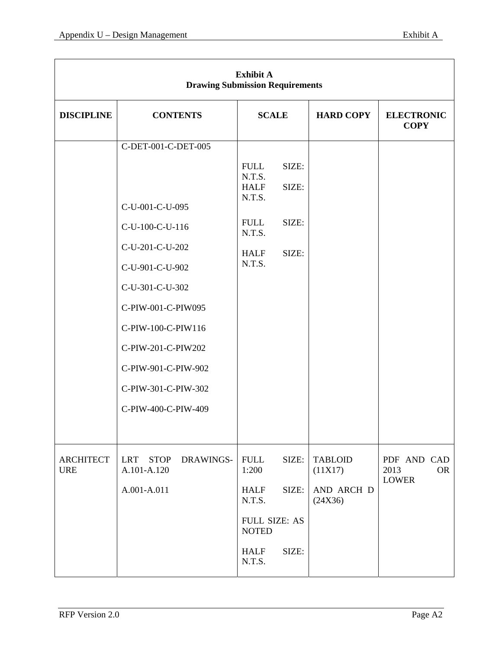| <b>Exhibit A</b><br><b>Drawing Submission Requirements</b> |                                                       |                                                |                |                           |                                  |
|------------------------------------------------------------|-------------------------------------------------------|------------------------------------------------|----------------|---------------------------|----------------------------------|
| <b>DISCIPLINE</b>                                          | <b>CONTENTS</b>                                       | <b>SCALE</b>                                   |                | <b>HARD COPY</b>          | <b>ELECTRONIC</b><br><b>COPY</b> |
|                                                            | C-DET-001-C-DET-005                                   |                                                |                |                           |                                  |
|                                                            |                                                       | <b>FULL</b><br>N.T.S.<br><b>HALF</b><br>N.T.S. | SIZE:<br>SIZE: |                           |                                  |
|                                                            | C-U-001-C-U-095                                       |                                                |                |                           |                                  |
|                                                            | C-U-100-C-U-116                                       | <b>FULL</b><br>N.T.S.                          | SIZE:          |                           |                                  |
|                                                            | C-U-201-C-U-202                                       | <b>HALF</b>                                    | SIZE:          |                           |                                  |
|                                                            | C-U-901-C-U-902                                       | N.T.S.                                         |                |                           |                                  |
|                                                            | C-U-301-C-U-302                                       |                                                |                |                           |                                  |
|                                                            | C-PIW-001-C-PIW095                                    |                                                |                |                           |                                  |
|                                                            | C-PIW-100-C-PIW116                                    |                                                |                |                           |                                  |
|                                                            | C-PIW-201-C-PIW202                                    |                                                |                |                           |                                  |
|                                                            | C-PIW-901-C-PIW-902                                   |                                                |                |                           |                                  |
|                                                            | C-PIW-301-C-PIW-302                                   |                                                |                |                           |                                  |
|                                                            | C-PIW-400-C-PIW-409                                   |                                                |                |                           |                                  |
|                                                            |                                                       |                                                |                |                           |                                  |
| <b>ARCHITECT</b><br><b>URE</b>                             | <b>LRT</b><br><b>STOP</b><br>DRAWINGS-<br>A.101-A.120 | <b>FULL</b><br>1:200                           | SIZE:          | <b>TABLOID</b><br>(11X17) | PDF AND CAD<br>2013<br><b>OR</b> |
|                                                            | A.001-A.011                                           | <b>HALF</b><br>N.T.S.                          | SIZE:          | AND ARCH D<br>(24X36)     | <b>LOWER</b>                     |
|                                                            |                                                       | <b>FULL SIZE: AS</b><br><b>NOTED</b>           |                |                           |                                  |
|                                                            |                                                       | <b>HALF</b><br>N.T.S.                          | SIZE:          |                           |                                  |